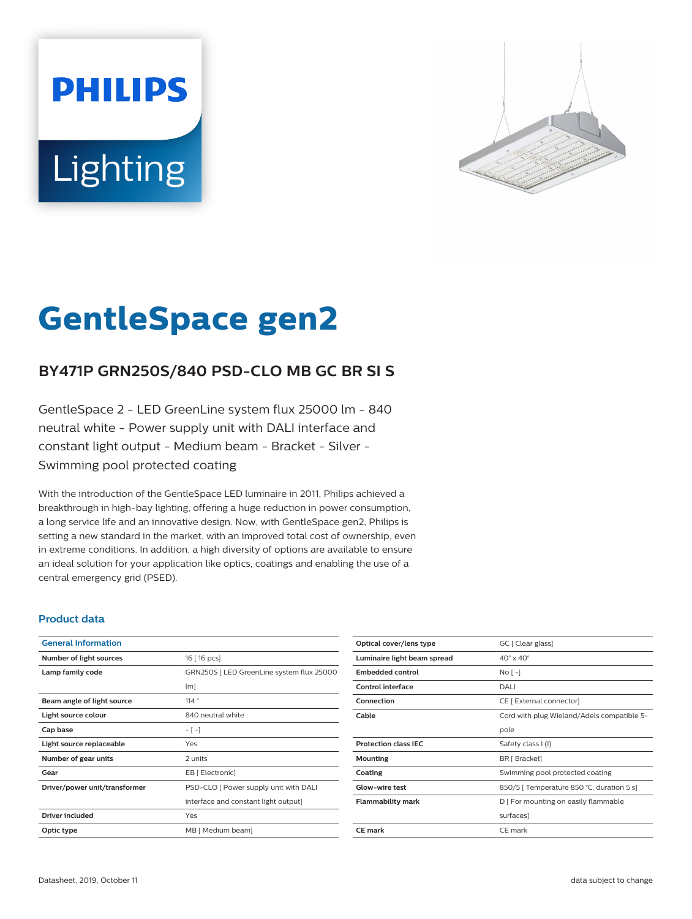# **PHILIPS Lighting**



# **GentleSpace gen2**

# **BY471P GRN250S/840 PSD-CLO MB GC BR SI S**

GentleSpace 2 - LED GreenLine system flux 25000 lm - 840 neutral white - Power supply unit with DALI interface and constant light output - Medium beam - Bracket - Silver - Swimming pool protected coating

With the introduction of the GentleSpace LED luminaire in 2011, Philips achieved a breakthrough in high-bay lighting, offering a huge reduction in power consumption, a long service life and an innovative design. Now, with GentleSpace gen2, Philips is setting a new standard in the market, with an improved total cost of ownership, even in extreme conditions. In addition, a high diversity of options are available to ensure an ideal solution for your application like optics, coatings and enabling the use of a central emergency grid (PSED).

### **Product data**

| <b>General Information</b>    |                                           |
|-------------------------------|-------------------------------------------|
| Number of light sources       | 16 [ 16 pcs]                              |
| Lamp family code              | GRN250S   LED GreenLine system flux 25000 |
|                               | lm]                                       |
| Beam angle of light source    | 114°                                      |
| Light source colour           | 840 neutral white                         |
| Cap base                      | $-[-]$                                    |
| Light source replaceable      | Yes                                       |
| Number of gear units          | 2 units                                   |
| Gear                          | EB [ Electronic]                          |
| Driver/power unit/transformer | PSD-CLO [ Power supply unit with DALI     |
|                               | interface and constant light output]      |
| Driver included               | Yes                                       |
| Optic type                    | MB [ Medium beam]                         |
|                               |                                           |

| Optical cover/lens type     | GC [ Clear glass]                          |
|-----------------------------|--------------------------------------------|
| Luminaire light beam spread | $40^\circ \times 40^\circ$                 |
| <b>Embedded control</b>     | $NQ$ [ -]                                  |
| Control interface           | DALI                                       |
| Connection                  | CE [ External connector]                   |
| Cable                       | Cord with plug Wieland/Adels compatible 5- |
|                             | pole                                       |
| <b>Protection class IEC</b> | Safety class I (I)                         |
| Mounting                    | BR [ Bracket]                              |
| Coating                     | Swimming pool protected coating            |
| <b>Glow-wire test</b>       | 850/5   Temperature 850 °C, duration 5 s]  |
| Flammability mark           | D   For mounting on easily flammable       |
|                             | surfaces]                                  |
| <b>CE</b> mark              | CE mark                                    |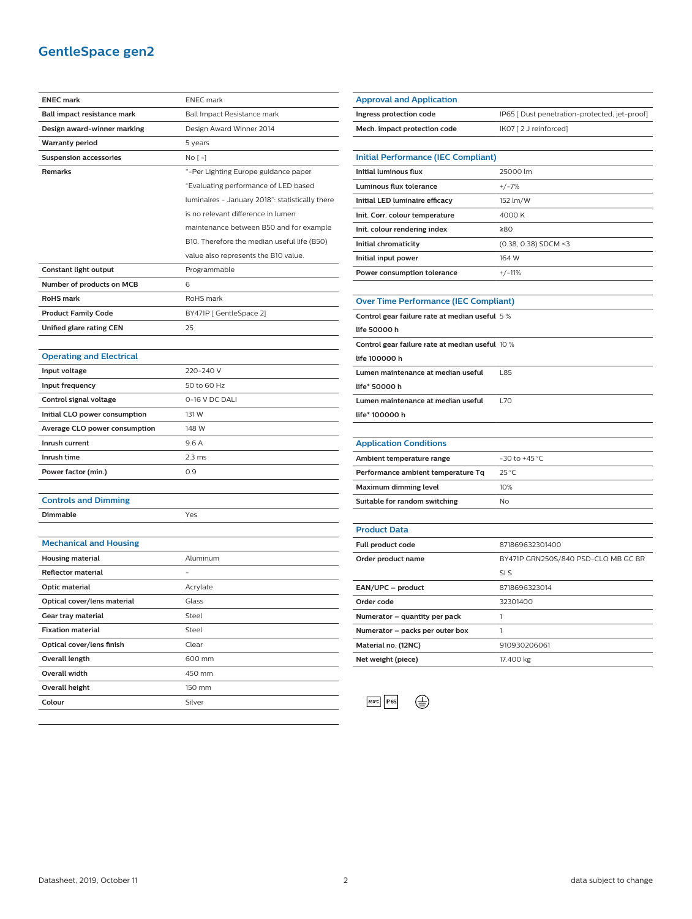# **GentleSpace gen2**

| <b>ENEC mark</b>                | <b>ENEC</b> mark                                |
|---------------------------------|-------------------------------------------------|
| Ball impact resistance mark     | Ball Impact Resistance mark                     |
| Design award-winner marking     | Design Award Winner 2014                        |
| Warranty period                 | 5 years                                         |
| <b>Suspension accessories</b>   | No [ -]                                         |
| Remarks                         | *-Per Lighting Europe guidance paper            |
|                                 | "Evaluating performance of LED based            |
|                                 | luminaires - January 2018": statistically there |
|                                 | is no relevant difference in lumen              |
|                                 | maintenance between B50 and for example         |
|                                 | B10. Therefore the median useful life (B50)     |
|                                 | value also represents the B10 value.            |
| Constant light output           | Programmable                                    |
| Number of products on MCB       | 6                                               |
| <b>RoHS</b> mark                | RoHS mark                                       |
| <b>Product Family Code</b>      | BY471P [GentleSpace 2]                          |
| <b>Unified glare rating CEN</b> | 25                                              |
|                                 |                                                 |
| <b>Operating and Electrical</b> |                                                 |
| Input voltage                   | 220-240 V                                       |
| Input frequency                 | 50 to 60 Hz                                     |
| Control signal voltage          | 0-16 V DC DALI                                  |
| Initial CLO power consumption   | 131 W                                           |
| Average CLO power consumption   | 148 W                                           |
| Inrush current                  | 9.6A                                            |
| Inrush time                     | 2.3 <sub>ms</sub>                               |
| Power factor (min.)             | 0.9                                             |
|                                 |                                                 |
| <b>Controls and Dimming</b>     |                                                 |
| Dimmable                        | Yes                                             |
|                                 |                                                 |
| <b>Mechanical and Housing</b>   |                                                 |
| <b>Housing material</b>         | Aluminum                                        |
| <b>Reflector material</b>       |                                                 |
| Optic material                  | Acrylate                                        |
| Optical cover/lens material     | Glass                                           |
| Gear tray material              | Steel                                           |
| <b>Fixation material</b>        | Steel                                           |
| Optical cover/lens finish       | Clear                                           |
| Overall length                  | 600 mm                                          |
| Overall width                   | 450 mm                                          |
| Overall height                  | 150 mm                                          |
| Colour                          | Silver                                          |

| <b>Approval and Application</b>                 |                                               |
|-------------------------------------------------|-----------------------------------------------|
| Ingress protection code                         | IP65 [ Dust penetration-protected, jet-proof] |
| Mech. impact protection code                    | IK07 [2 J reinforced]                         |
|                                                 |                                               |
| <b>Initial Performance (IEC Compliant)</b>      |                                               |
| <b>Initial luminous flux</b>                    | 25000 lm                                      |
| Luminous flux tolerance                         | $+/-7%$                                       |
| Initial LED luminaire efficacy                  | 152 lm/W                                      |
| Init. Corr. colour temperature                  | 4000 K                                        |
| Init. colour rendering index                    | ≥80                                           |
| Initial chromaticity                            | (0.38, 0.38) SDCM <3                          |
| Initial input power                             | 164 W                                         |
| Power consumption tolerance                     | $+/-11%$                                      |
|                                                 |                                               |
| <b>Over Time Performance (IEC Compliant)</b>    |                                               |
| Control gear failure rate at median useful 5%   |                                               |
| life 50000 h                                    |                                               |
| Control gear failure rate at median useful 10 % |                                               |
| life 100000 h                                   |                                               |
| Lumen maintenance at median useful              | L85                                           |
| life* 50000 h                                   |                                               |
| Lumen maintenance at median useful              | <b>L70</b>                                    |
| life* 100000 h                                  |                                               |
|                                                 |                                               |
| <b>Application Conditions</b>                   |                                               |
| Ambient temperature range                       | -30 to +45 °C                                 |
| Performance ambient temperature Tq              | 25 °C                                         |
| Maximum dimming level                           | 10%                                           |
| Suitable for random switching                   | No                                            |
|                                                 |                                               |
| Product Data                                    |                                               |
| Full product code                               | 871869632301400                               |
| Order product name                              | BY471P GRN250S/840 PSD-CLO MB GC BR           |
|                                                 | SI S                                          |
| EAN/UPC - product                               | 8718696323014                                 |
| Order code                                      | 32301400                                      |
| Numerator - quantity per pack                   | 1                                             |
| Numerator - packs per outer box                 | 1                                             |
| Material no. (12NC)                             | 910930206061                                  |
|                                                 |                                               |